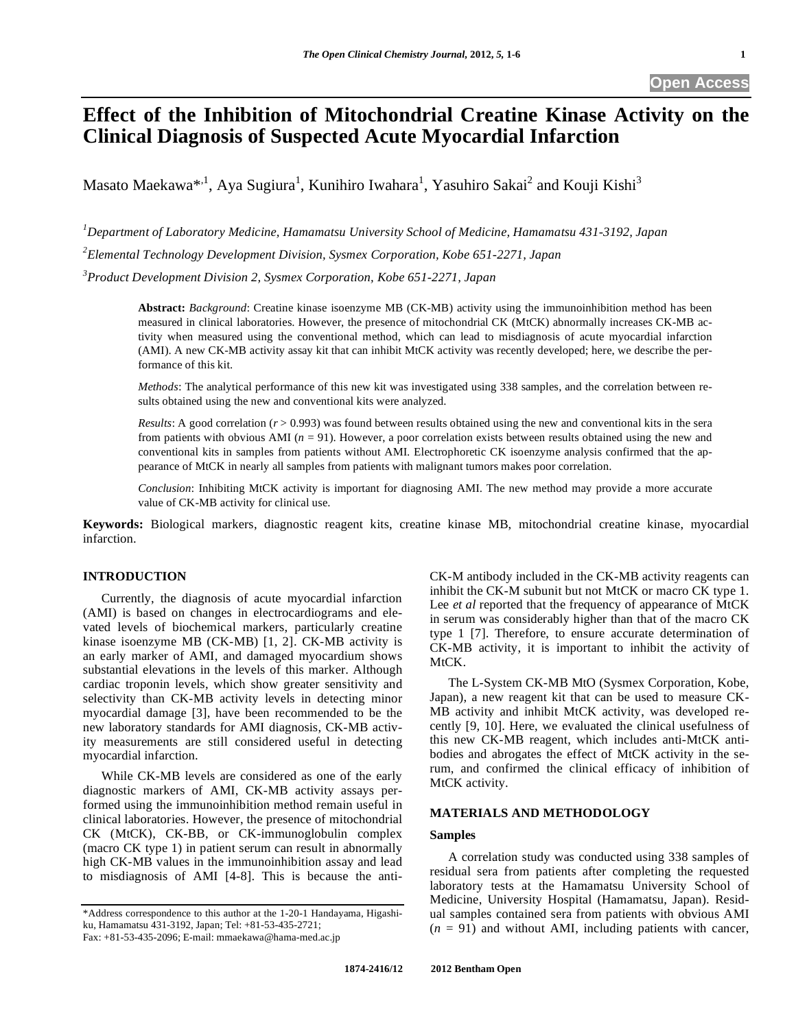# **Effect of the Inhibition of Mitochondrial Creatine Kinase Activity on the Clinical Diagnosis of Suspected Acute Myocardial Infarction**

Masato Maekawa $^{*,1}$ , Aya Sugiura<sup>1</sup>, Kunihiro Iwahara<sup>1</sup>, Yasuhiro Sakai<sup>2</sup> and Kouji Kishi<sup>3</sup>

*1 Department of Laboratory Medicine, Hamamatsu University School of Medicine, Hamamatsu 431-3192, Japan* 

*2 Elemental Technology Development Division, Sysmex Corporation, Kobe 651-2271, Japan* 

*3 Product Development Division 2, Sysmex Corporation, Kobe 651-2271, Japan* 

**Abstract:** *Background*: Creatine kinase isoenzyme MB (CK-MB) activity using the immunoinhibition method has been measured in clinical laboratories. However, the presence of mitochondrial CK (MtCK) abnormally increases CK-MB activity when measured using the conventional method, which can lead to misdiagnosis of acute myocardial infarction (AMI). A new CK-MB activity assay kit that can inhibit MtCK activity was recently developed; here, we describe the performance of this kit.

*Methods*: The analytical performance of this new kit was investigated using 338 samples, and the correlation between results obtained using the new and conventional kits were analyzed.

*Results*: A good correlation ( $r > 0.993$ ) was found between results obtained using the new and conventional kits in the sera from patients with obvious AMI (*n* = 91). However, a poor correlation exists between results obtained using the new and conventional kits in samples from patients without AMI. Electrophoretic CK isoenzyme analysis confirmed that the appearance of MtCK in nearly all samples from patients with malignant tumors makes poor correlation.

*Conclusion*: Inhibiting MtCK activity is important for diagnosing AMI. The new method may provide a more accurate value of CK-MB activity for clinical use.

**Keywords:** Biological markers, diagnostic reagent kits, creatine kinase MB, mitochondrial creatine kinase, myocardial infarction.

### **INTRODUCTION**

 Currently, the diagnosis of acute myocardial infarction (AMI) is based on changes in electrocardiograms and elevated levels of biochemical markers, particularly creatine kinase isoenzyme MB (CK-MB) [1, 2]. CK-MB activity is an early marker of AMI, and damaged myocardium shows substantial elevations in the levels of this marker. Although cardiac troponin levels, which show greater sensitivity and selectivity than CK-MB activity levels in detecting minor myocardial damage [3], have been recommended to be the new laboratory standards for AMI diagnosis, CK-MB activity measurements are still considered useful in detecting myocardial infarction.

 While CK-MB levels are considered as one of the early diagnostic markers of AMI, CK-MB activity assays performed using the immunoinhibition method remain useful in clinical laboratories. However, the presence of mitochondrial CK (MtCK), CK-BB, or CK-immunoglobulin complex (macro CK type 1) in patient serum can result in abnormally high CK-MB values in the immunoinhibition assay and lead to misdiagnosis of AMI [4-8]. This is because the anti-

\*Address correspondence to this author at the 1-20-1 Handayama, Higashiku, Hamamatsu 431-3192, Japan; Tel: +81-53-435-2721;

Fax: +81-53-435-2096; E-mail: mmaekawa@hama-med.ac.jp

CK-M antibody included in the CK-MB activity reagents can inhibit the CK-M subunit but not MtCK or macro CK type 1. Lee *et al* reported that the frequency of appearance of MtCK in serum was considerably higher than that of the macro CK type 1 [7]. Therefore, to ensure accurate determination of CK-MB activity, it is important to inhibit the activity of MtCK.

 The L-System CK-MB MtO (Sysmex Corporation, Kobe, Japan), a new reagent kit that can be used to measure CK-MB activity and inhibit MtCK activity, was developed recently [9, 10]. Here, we evaluated the clinical usefulness of this new CK-MB reagent, which includes anti-MtCK antibodies and abrogates the effect of MtCK activity in the serum, and confirmed the clinical efficacy of inhibition of MtCK activity.

# **MATERIALS AND METHODOLOGY**

# **Samples**

 A correlation study was conducted using 338 samples of residual sera from patients after completing the requested laboratory tests at the Hamamatsu University School of Medicine, University Hospital (Hamamatsu, Japan). Residual samples contained sera from patients with obvious AMI  $(n = 91)$  and without AMI, including patients with cancer,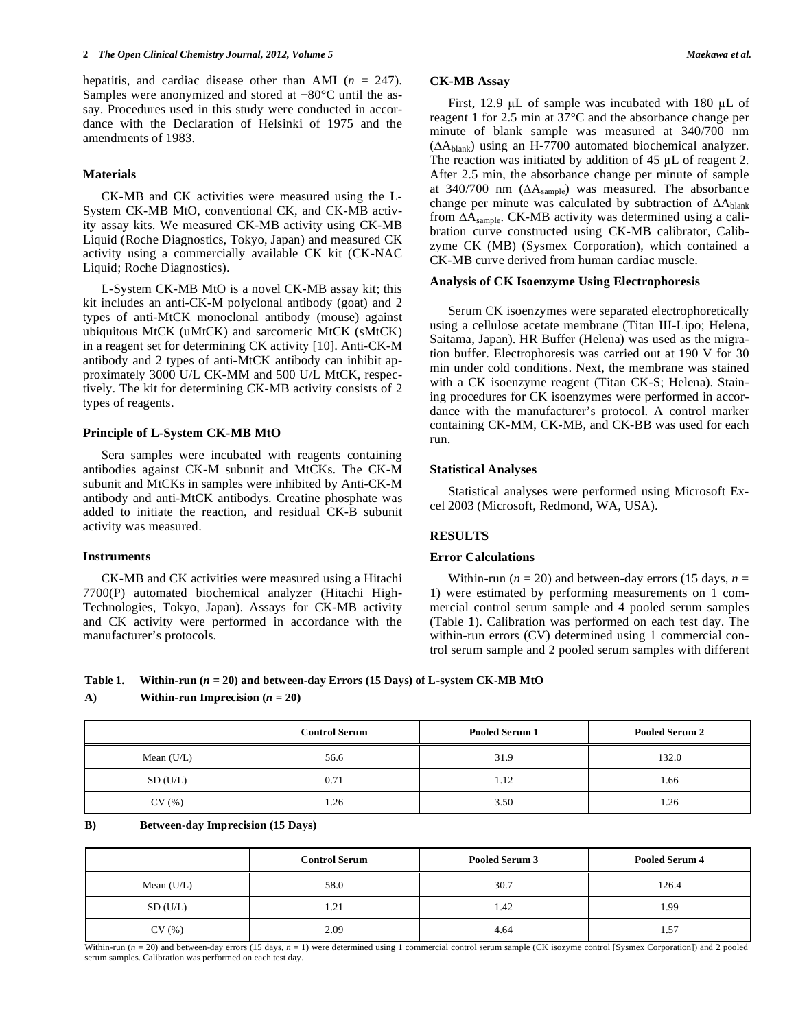hepatitis, and cardiac disease other than AMI (*n* = 247). Samples were anonymized and stored at  $-80^{\circ}$ C until the assay. Procedures used in this study were conducted in accordance with the Declaration of Helsinki of 1975 and the amendments of 1983.

### **Materials**

 CK-MB and CK activities were measured using the L-System CK-MB MtO, conventional CK, and CK-MB activity assay kits. We measured CK-MB activity using CK-MB Liquid (Roche Diagnostics, Tokyo, Japan) and measured CK activity using a commercially available CK kit (CK-NAC Liquid; Roche Diagnostics).

 L-System CK-MB MtO is a novel CK-MB assay kit; this kit includes an anti-CK-M polyclonal antibody (goat) and 2 types of anti-MtCK monoclonal antibody (mouse) against ubiquitous MtCK (uMtCK) and sarcomeric MtCK (sMtCK) in a reagent set for determining CK activity [10]. Anti-CK-M antibody and 2 types of anti-MtCK antibody can inhibit approximately 3000 U/L CK-MM and 500 U/L MtCK, respectively. The kit for determining CK-MB activity consists of 2 types of reagents.

### **Principle of L-System CK-MB MtO**

 Sera samples were incubated with reagents containing antibodies against CK-M subunit and MtCKs. The CK-M subunit and MtCKs in samples were inhibited by Anti-CK-M antibody and anti-MtCK antibodys. Creatine phosphate was added to initiate the reaction, and residual CK-B subunit activity was measured.

### **Instruments**

 CK-MB and CK activities were measured using a Hitachi 7700(P) automated biochemical analyzer (Hitachi High-Technologies, Tokyo, Japan). Assays for CK-MB activity and CK activity were performed in accordance with the manufacturer's protocols.

### **CK-MB Assay**

First, 12.9  $\mu$ L of sample was incubated with 180  $\mu$ L of reagent 1 for 2.5 min at 37°C and the absorbance change per minute of blank sample was measured at 340/700 nm  $( \Delta A_{\text{blank}} )$  using an H-7700 automated biochemical analyzer. The reaction was initiated by addition of  $45 \mu L$  of reagent 2. After 2.5 min, the absorbance change per minute of sample at 340/700 nm  $( \Delta A_{sample} )$  was measured. The absorbance change per minute was calculated by subtraction of  $\Delta A_{\text{blank}}$ from  $\Delta A_{\text{sample}}$ . CK-MB activity was determined using a calibration curve constructed using CK-MB calibrator, Calibzyme CK (MB) (Sysmex Corporation), which contained a CK-MB curve derived from human cardiac muscle.

### **Analysis of CK Isoenzyme Using Electrophoresis**

 Serum CK isoenzymes were separated electrophoretically using a cellulose acetate membrane (Titan III-Lipo; Helena, Saitama, Japan). HR Buffer (Helena) was used as the migration buffer. Electrophoresis was carried out at 190 V for 30 min under cold conditions. Next, the membrane was stained with a CK isoenzyme reagent (Titan CK-S; Helena). Staining procedures for CK isoenzymes were performed in accordance with the manufacturer's protocol. A control marker containing CK-MM, CK-MB, and CK-BB was used for each run.

### **Statistical Analyses**

 Statistical analyses were performed using Microsoft Excel 2003 (Microsoft, Redmond, WA, USA).

### **RESULTS**

# **Error Calculations**

Within-run ( $n = 20$ ) and between-day errors (15 days,  $n =$ 1) were estimated by performing measurements on 1 commercial control serum sample and 4 pooled serum samples (Table **1**). Calibration was performed on each test day. The within-run errors (CV) determined using 1 commercial control serum sample and 2 pooled serum samples with different

# **Table 1. Within-run (***n* **= 20) and between-day Errors (15 Days) of L-system CK-MB MtO**

### A) Within-run Imprecision  $(n = 20)$

|              | <b>Control Serum</b> | Pooled Serum 1 | <b>Pooled Serum 2</b> |
|--------------|----------------------|----------------|-----------------------|
| Mean $(U/L)$ | 56.6                 | 31.9           | 132.0                 |
| SD(U/L)      | 0.71                 | 1.12           | 1.66                  |
| CV(%)        | 1.26                 | 3.50           | 1.26                  |

#### **B) Between-day Imprecision (15 Days)**

|              | <b>Control Serum</b> | Pooled Serum 3 | <b>Pooled Serum 4</b> |
|--------------|----------------------|----------------|-----------------------|
| Mean $(U/L)$ | 58.0                 | 30.7           | 126.4                 |
| SD(U/L)      | 1.21                 | 1.42           | 1.99                  |
| CV(%)        | 2.09                 | 4.64           | 1.57                  |

Within-run  $(n = 20)$  and between-day errors (15 days,  $n = 1$ ) were determined using 1 commercial control serum sample (CK isozyme control [Sysmex Corporation]) and 2 pooled serum samples. Calibration was performed on each test day.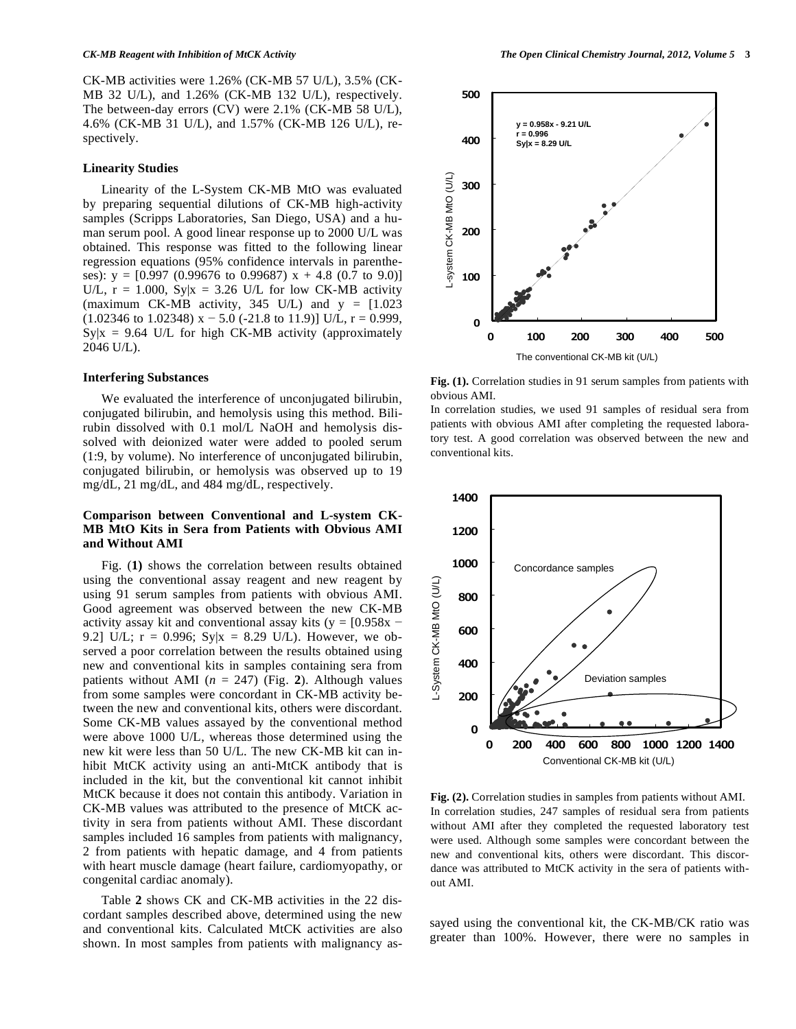CK-MB activities were 1.26% (CK-MB 57 U/L), 3.5% (CK-MB 32 U/L), and 1.26% (CK-MB 132 U/L), respectively. The between-day errors (CV) were 2.1% (CK-MB 58 U/L), 4.6% (CK-MB 31 U/L), and 1.57% (CK-MB 126 U/L), respectively.

### **Linearity Studies**

 Linearity of the L-System CK-MB MtO was evaluated by preparing sequential dilutions of CK-MB high-activity samples (Scripps Laboratories, San Diego, USA) and a human serum pool. A good linear response up to 2000 U/L was obtained. This response was fitted to the following linear regression equations (95% confidence intervals in parentheses):  $y = [0.997 (0.99676 \text{ to } 0.99687) \text{ x} + 4.8 (0.7 \text{ to } 9.0)]$ U/L,  $r = 1.000$ ,  $Sylx = 3.26$  U/L for low CK-MB activity (maximum CK-MB activity, 345 U/L) and  $y = [1.023]$  $(1.02346 \text{ to } 1.02348) \text{ x} - 5.0$  (-21.8 to 11.9)] U/L, r = 0.999,  $Sylx = 9.64$  U/L for high CK-MB activity (approximately 2046 U/L).

### **Interfering Substances**

 We evaluated the interference of unconjugated bilirubin, conjugated bilirubin, and hemolysis using this method. Bilirubin dissolved with 0.1 mol/L NaOH and hemolysis dissolved with deionized water were added to pooled serum (1:9, by volume). No interference of unconjugated bilirubin, conjugated bilirubin, or hemolysis was observed up to 19 mg/dL, 21 mg/dL, and 484 mg/dL, respectively.

## **Comparison between Conventional and L-system CK-MB MtO Kits in Sera from Patients with Obvious AMI and Without AMI**

 Fig. (**1)** shows the correlation between results obtained using the conventional assay reagent and new reagent by using 91 serum samples from patients with obvious AMI. Good agreement was observed between the new CK-MB activity assay kit and conventional assay kits ( $y = [0.958x -$ 9.2] U/L;  $r = 0.996$ ; Sy|x = 8.29 U/L). However, we observed a poor correlation between the results obtained using new and conventional kits in samples containing sera from patients without AMI ( $n = 247$ ) (Fig. 2). Although values from some samples were concordant in CK-MB activity between the new and conventional kits, others were discordant. Some CK-MB values assayed by the conventional method were above 1000 U/L, whereas those determined using the new kit were less than 50 U/L. The new CK-MB kit can inhibit MtCK activity using an anti-MtCK antibody that is included in the kit, but the conventional kit cannot inhibit MtCK because it does not contain this antibody. Variation in CK-MB values was attributed to the presence of MtCK activity in sera from patients without AMI. These discordant samples included 16 samples from patients with malignancy, 2 from patients with hepatic damage, and 4 from patients with heart muscle damage (heart failure, cardiomyopathy, or congenital cardiac anomaly).

 Table **2** shows CK and CK-MB activities in the 22 discordant samples described above, determined using the new and conventional kits. Calculated MtCK activities are also shown. In most samples from patients with malignancy as-



**Fig. (1).** Correlation studies in 91 serum samples from patients with obvious AMI.

In correlation studies, we used 91 samples of residual sera from patients with obvious AMI after completing the requested laboratory test. A good correlation was observed between the new and conventional kits.



**Fig. (2).** Correlation studies in samples from patients without AMI. In correlation studies, 247 samples of residual sera from patients without AMI after they completed the requested laboratory test were used. Although some samples were concordant between the new and conventional kits, others were discordant. This discordance was attributed to MtCK activity in the sera of patients without AMI.

sayed using the conventional kit, the CK-MB/CK ratio was greater than 100%. However, there were no samples in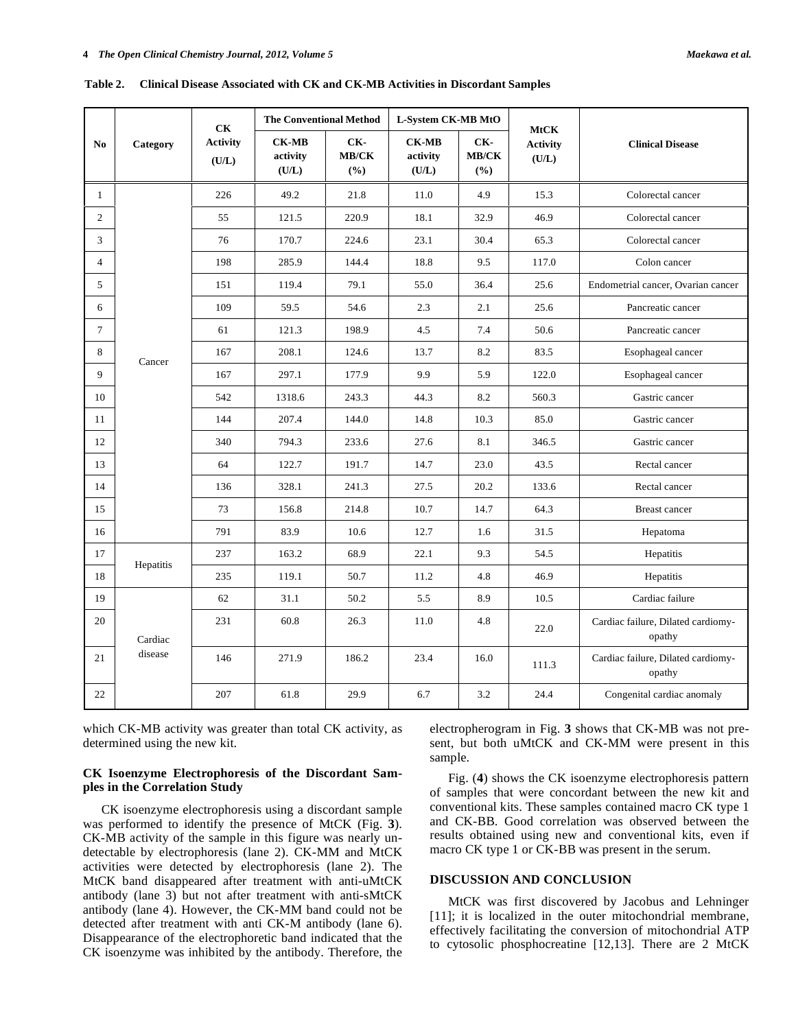| No             |                                      | <b>CK</b><br><b>Activity</b><br>(U/L) | <b>The Conventional Method</b>    |                     | L-System CK-MB MtO                |                     |                                         |                                              |
|----------------|--------------------------------------|---------------------------------------|-----------------------------------|---------------------|-----------------------------------|---------------------|-----------------------------------------|----------------------------------------------|
|                | Category                             |                                       | <b>CK-MB</b><br>activity<br>(U/L) | CK-<br>MB/CK<br>(%) | <b>CK-MB</b><br>activity<br>(U/L) | CK-<br>MB/CK<br>(%) | <b>MtCK</b><br><b>Activity</b><br>(U/L) | <b>Clinical Disease</b>                      |
| $\overline{1}$ | 226<br>55<br>76<br>198<br>151<br>109 |                                       | 49.2                              | 21.8                | 11.0                              | 4.9                 | 15.3                                    | Colorectal cancer                            |
| 2              |                                      |                                       | 121.5                             | 220.9               | 18.1                              | 32.9                | 46.9                                    | Colorectal cancer                            |
| 3              |                                      |                                       | 170.7                             | 224.6               | 23.1                              | 30.4                | 65.3                                    | Colorectal cancer                            |
| $\overline{4}$ |                                      |                                       | 285.9                             | 144.4               | 18.8                              | 9.5                 | 117.0                                   | Colon cancer                                 |
| 5              |                                      |                                       | 119.4                             | 79.1                | 55.0                              | 36.4                | 25.6                                    | Endometrial cancer, Ovarian cancer           |
| 6              |                                      |                                       | 59.5                              | 54.6                | 2.3                               | 2.1                 | 25.6                                    | Pancreatic cancer                            |
| $\tau$         |                                      | 61                                    | 121.3                             | 198.9               | 4.5                               | 7.4                 | 50.6                                    | Pancreatic cancer                            |
| 8              | 167<br>Cancer<br>167<br>542<br>144   |                                       | 208.1                             | 124.6               | 13.7                              | 8.2                 | 83.5                                    | Esophageal cancer                            |
| 9              |                                      |                                       | 297.1                             | 177.9               | 9.9                               | 5.9                 | 122.0                                   | Esophageal cancer                            |
| 10             |                                      |                                       | 1318.6                            | 243.3               | 44.3                              | 8.2                 | 560.3                                   | Gastric cancer                               |
| 11             |                                      |                                       | 207.4                             | 144.0               | 14.8                              | 10.3                | 85.0                                    | Gastric cancer                               |
| 12             |                                      | 340                                   | 794.3                             | 233.6               | 27.6                              | 8.1                 | 346.5                                   | Gastric cancer                               |
| 13             |                                      | 64                                    | 122.7                             | 191.7               | 14.7                              | 23.0                | 43.5                                    | Rectal cancer                                |
| 14             |                                      | 136                                   | 328.1                             | 241.3               | 27.5                              | 20.2                | 133.6                                   | Rectal cancer                                |
| 15             |                                      | 73                                    | 156.8                             | 214.8               | 10.7                              | 14.7                | 64.3                                    | Breast cancer                                |
| 16             |                                      | 791                                   | 83.9                              | 10.6                | 12.7                              | 1.6                 | 31.5                                    | Hepatoma                                     |
| 17             | Hepatitis                            | 237                                   | 163.2                             | 68.9                | 22.1                              | 9.3                 | 54.5                                    | Hepatitis                                    |
| 18             |                                      | 235                                   | 119.1                             | 50.7                | 11.2                              | 4.8                 | 46.9                                    | Hepatitis                                    |
| 19             |                                      | 62                                    | 31.1                              | 50.2                | 5.5                               | 8.9                 | 10.5                                    | Cardiac failure                              |
| 20             | Cardiac                              | 231                                   | 60.8                              | 26.3                | 11.0                              | 4.8                 | 22.0                                    | Cardiac failure, Dilated cardiomy-<br>opathy |
| 21             | disease                              | 146                                   | 271.9                             | 186.2               | 23.4                              | 16.0                | 111.3                                   | Cardiac failure, Dilated cardiomy-<br>opathy |

**Table 2. Clinical Disease Associated with CK and CK-MB Activities in Discordant Samples** 

which CK-MB activity was greater than total CK activity, as determined using the new kit.

22

## **CK Isoenzyme Electrophoresis of the Discordant Samples in the Correlation Study**

 CK isoenzyme electrophoresis using a discordant sample was performed to identify the presence of MtCK (Fig. **3**). CK-MB activity of the sample in this figure was nearly undetectable by electrophoresis (lane 2). CK-MM and MtCK activities were detected by electrophoresis (lane 2). The MtCK band disappeared after treatment with anti-uMtCK antibody (lane 3) but not after treatment with anti-sMtCK antibody (lane 4). However, the CK-MM band could not be detected after treatment with anti CK-M antibody (lane 6). Disappearance of the electrophoretic band indicated that the CK isoenzyme was inhibited by the antibody. Therefore, the electropherogram in Fig. **3** shows that CK-MB was not present, but both uMtCK and CK-MM were present in this sample.

 Fig. (**4**) shows the CK isoenzyme electrophoresis pattern of samples that were concordant between the new kit and conventional kits. These samples contained macro CK type 1 and CK-BB. Good correlation was observed between the results obtained using new and conventional kits, even if macro CK type 1 or CK-BB was present in the serum.

# **DISCUSSION AND CONCLUSION**

207 | 61.8 | 29.9 | 6.7 | 3.2 | 24.4 | Congenital cardiac anomaly

 MtCK was first discovered by Jacobus and Lehninger [11]; it is localized in the outer mitochondrial membrane, effectively facilitating the conversion of mitochondrial ATP to cytosolic phosphocreatine [12,13]. There are 2 MtCK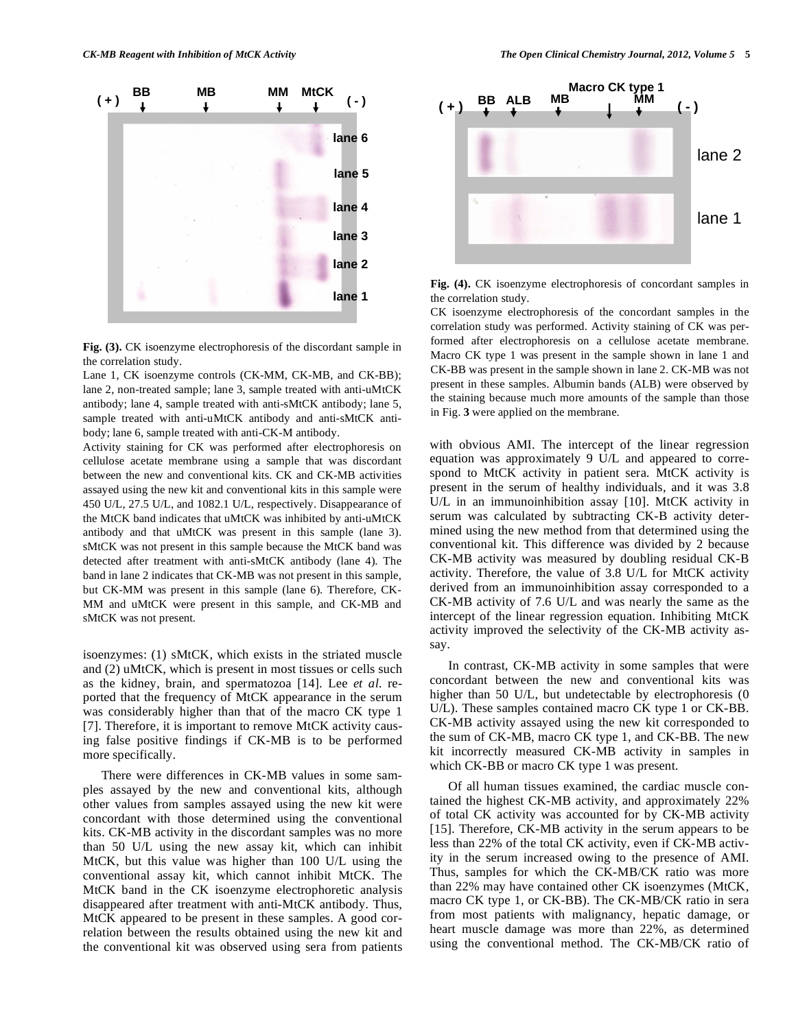

**Fig. (3).** CK isoenzyme electrophoresis of the discordant sample in the correlation study.

Lane 1, CK isoenzyme controls (CK-MM, CK-MB, and CK-BB); lane 2, non-treated sample; lane 3, sample treated with anti-uMtCK antibody; lane 4, sample treated with anti-sMtCK antibody; lane 5, sample treated with anti-uMtCK antibody and anti-sMtCK antibody; lane 6, sample treated with anti-CK-M antibody.

Activity staining for CK was performed after electrophoresis on cellulose acetate membrane using a sample that was discordant between the new and conventional kits. CK and CK-MB activities assayed using the new kit and conventional kits in this sample were 450 U/L, 27.5 U/L, and 1082.1 U/L, respectively. Disappearance of the MtCK band indicates that uMtCK was inhibited by anti-uMtCK antibody and that uMtCK was present in this sample (lane 3). sMtCK was not present in this sample because the MtCK band was detected after treatment with anti-sMtCK antibody (lane 4). The band in lane 2 indicates that CK-MB was not present in this sample, but CK-MM was present in this sample (lane 6). Therefore, CK-MM and uMtCK were present in this sample, and CK-MB and sMtCK was not present.

isoenzymes: (1) sMtCK, which exists in the striated muscle and (2) uMtCK, which is present in most tissues or cells such as the kidney, brain, and spermatozoa [14]. Lee *et al*. reported that the frequency of MtCK appearance in the serum was considerably higher than that of the macro CK type 1 [7]. Therefore, it is important to remove MtCK activity causing false positive findings if CK-MB is to be performed more specifically.

 There were differences in CK-MB values in some samples assayed by the new and conventional kits, although other values from samples assayed using the new kit were concordant with those determined using the conventional kits. CK-MB activity in the discordant samples was no more than 50 U/L using the new assay kit, which can inhibit MtCK, but this value was higher than 100 U/L using the conventional assay kit, which cannot inhibit MtCK. The MtCK band in the CK isoenzyme electrophoretic analysis disappeared after treatment with anti-MtCK antibody. Thus, MtCK appeared to be present in these samples. A good correlation between the results obtained using the new kit and the conventional kit was observed using sera from patients



**Fig. (4).** CK isoenzyme electrophoresis of concordant samples in the correlation study.

CK isoenzyme electrophoresis of the concordant samples in the correlation study was performed. Activity staining of CK was performed after electrophoresis on a cellulose acetate membrane. Macro CK type 1 was present in the sample shown in lane 1 and CK-BB was present in the sample shown in lane 2. CK-MB was not present in these samples. Albumin bands (ALB) were observed by the staining because much more amounts of the sample than those in Fig. **3** were applied on the membrane.

with obvious AMI. The intercept of the linear regression equation was approximately 9 U/L and appeared to correspond to MtCK activity in patient sera. MtCK activity is present in the serum of healthy individuals, and it was 3.8 U/L in an immunoinhibition assay [10]. MtCK activity in serum was calculated by subtracting CK-B activity determined using the new method from that determined using the conventional kit. This difference was divided by 2 because CK-MB activity was measured by doubling residual CK-B activity. Therefore, the value of 3.8 U/L for MtCK activity derived from an immunoinhibition assay corresponded to a CK-MB activity of 7.6 U/L and was nearly the same as the intercept of the linear regression equation. Inhibiting MtCK activity improved the selectivity of the CK-MB activity assay.

 In contrast, CK-MB activity in some samples that were concordant between the new and conventional kits was higher than 50 U/L, but undetectable by electrophoresis (0 U/L). These samples contained macro CK type 1 or CK-BB. CK-MB activity assayed using the new kit corresponded to the sum of CK-MB, macro CK type 1, and CK-BB. The new kit incorrectly measured CK-MB activity in samples in which CK-BB or macro CK type 1 was present.

 Of all human tissues examined, the cardiac muscle contained the highest CK-MB activity, and approximately 22% of total CK activity was accounted for by CK-MB activity [15]. Therefore, CK-MB activity in the serum appears to be less than 22% of the total CK activity, even if CK-MB activity in the serum increased owing to the presence of AMI. Thus, samples for which the CK-MB/CK ratio was more than 22% may have contained other CK isoenzymes (MtCK, macro CK type 1, or CK-BB). The CK-MB/CK ratio in sera from most patients with malignancy, hepatic damage, or heart muscle damage was more than 22%, as determined using the conventional method. The CK-MB/CK ratio of